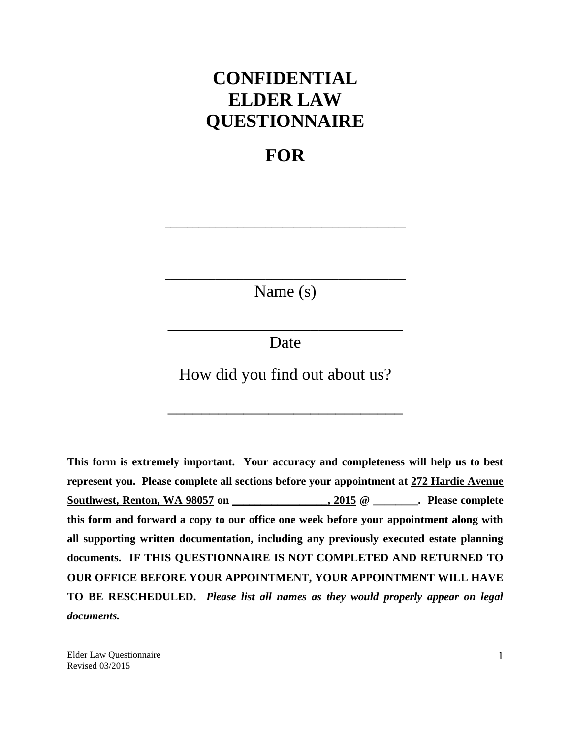# **CONFIDENTIAL ELDER LAW QUESTIONNAIRE**

# **FOR**

\_\_\_\_\_\_\_\_\_\_\_\_\_\_\_\_\_\_\_\_\_\_\_\_\_\_\_\_\_\_\_\_\_\_\_\_\_\_\_\_\_\_\_

\_\_\_\_\_\_\_\_\_\_\_\_\_\_\_\_\_\_\_\_\_\_\_\_\_\_\_\_\_\_\_\_\_\_\_\_\_\_\_\_\_\_\_ Name (s)

Date

\_\_\_\_\_\_\_\_\_\_\_\_\_\_\_\_\_\_\_\_\_\_\_\_\_\_\_\_

How did you find out about us?

\_\_\_\_\_\_\_\_\_\_\_\_\_\_\_\_\_\_\_\_\_\_\_\_\_\_\_\_

**This form is extremely important. Your accuracy and completeness will help us to best represent you. Please complete all sections before your appointment at 272 Hardie Avenue Southwest, Renton, WA 98057 on \_\_\_\_\_\_\_\_\_\_\_\_\_\_\_\_\_, 2015 @ \_\_\_\_\_\_\_\_. Please complete this form and forward a copy to our office one week before your appointment along with all supporting written documentation, including any previously executed estate planning documents. IF THIS QUESTIONNAIRE IS NOT COMPLETED AND RETURNED TO OUR OFFICE BEFORE YOUR APPOINTMENT, YOUR APPOINTMENT WILL HAVE TO BE RESCHEDULED.** *Please list all names as they would properly appear on legal documents.*

Elder Law Questionnaire Revised 03/2015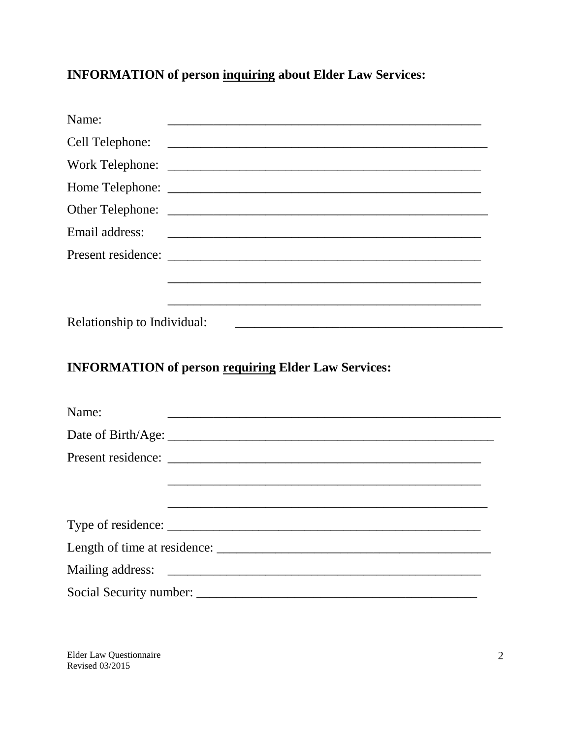## **INFORMATION of person inquiring about Elder Law Services:**

| Name:                       | <u> 1989 - Johann Stoff, deutscher Stoff, der Stoff, der Stoff, der Stoff, der Stoff, der Stoff, der Stoff, der S</u> |
|-----------------------------|-----------------------------------------------------------------------------------------------------------------------|
| Cell Telephone:             |                                                                                                                       |
|                             |                                                                                                                       |
|                             |                                                                                                                       |
|                             |                                                                                                                       |
| Email address:              |                                                                                                                       |
|                             |                                                                                                                       |
|                             |                                                                                                                       |
|                             |                                                                                                                       |
| Relationship to Individual: |                                                                                                                       |
|                             |                                                                                                                       |
|                             |                                                                                                                       |
|                             | <b>INFORMATION of person requiring Elder Law Services:</b>                                                            |
|                             |                                                                                                                       |
| Name:                       |                                                                                                                       |
|                             |                                                                                                                       |
|                             |                                                                                                                       |
|                             |                                                                                                                       |
|                             |                                                                                                                       |
| Type of residence:          |                                                                                                                       |
|                             |                                                                                                                       |
| Mailing address:            |                                                                                                                       |
|                             |                                                                                                                       |

Elder Law Questionnaire Revised 03/2015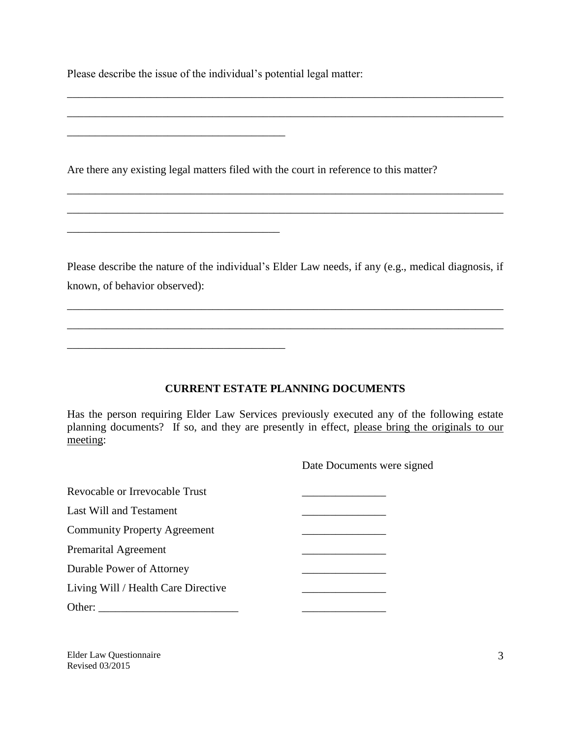Please describe the issue of the individual's potential legal matter:

\_\_\_\_\_\_\_\_\_\_\_\_\_\_\_\_\_\_\_\_\_\_\_\_\_\_\_\_\_\_\_\_\_\_\_\_\_\_\_

\_\_\_\_\_\_\_\_\_\_\_\_\_\_\_\_\_\_\_\_\_\_\_\_\_\_\_\_\_\_\_\_\_\_\_\_\_\_

\_\_\_\_\_\_\_\_\_\_\_\_\_\_\_\_\_\_\_\_\_\_\_\_\_\_\_\_\_\_\_\_\_\_\_\_\_\_\_

Are there any existing legal matters filed with the court in reference to this matter?

Please describe the nature of the individual's Elder Law needs, if any (e.g., medical diagnosis, if known, of behavior observed):

\_\_\_\_\_\_\_\_\_\_\_\_\_\_\_\_\_\_\_\_\_\_\_\_\_\_\_\_\_\_\_\_\_\_\_\_\_\_\_\_\_\_\_\_\_\_\_\_\_\_\_\_\_\_\_\_\_\_\_\_\_\_\_\_\_\_\_\_\_\_\_\_\_\_\_\_\_\_

\_\_\_\_\_\_\_\_\_\_\_\_\_\_\_\_\_\_\_\_\_\_\_\_\_\_\_\_\_\_\_\_\_\_\_\_\_\_\_\_\_\_\_\_\_\_\_\_\_\_\_\_\_\_\_\_\_\_\_\_\_\_\_\_\_\_\_\_\_\_\_\_\_\_\_\_\_\_

\_\_\_\_\_\_\_\_\_\_\_\_\_\_\_\_\_\_\_\_\_\_\_\_\_\_\_\_\_\_\_\_\_\_\_\_\_\_\_\_\_\_\_\_\_\_\_\_\_\_\_\_\_\_\_\_\_\_\_\_\_\_\_\_\_\_\_\_\_\_\_\_\_\_\_\_\_\_

\_\_\_\_\_\_\_\_\_\_\_\_\_\_\_\_\_\_\_\_\_\_\_\_\_\_\_\_\_\_\_\_\_\_\_\_\_\_\_\_\_\_\_\_\_\_\_\_\_\_\_\_\_\_\_\_\_\_\_\_\_\_\_\_\_\_\_\_\_\_\_\_\_\_\_\_\_\_

\_\_\_\_\_\_\_\_\_\_\_\_\_\_\_\_\_\_\_\_\_\_\_\_\_\_\_\_\_\_\_\_\_\_\_\_\_\_\_\_\_\_\_\_\_\_\_\_\_\_\_\_\_\_\_\_\_\_\_\_\_\_\_\_\_\_\_\_\_\_\_\_\_\_\_\_\_\_

\_\_\_\_\_\_\_\_\_\_\_\_\_\_\_\_\_\_\_\_\_\_\_\_\_\_\_\_\_\_\_\_\_\_\_\_\_\_\_\_\_\_\_\_\_\_\_\_\_\_\_\_\_\_\_\_\_\_\_\_\_\_\_\_\_\_\_\_\_\_\_\_\_\_\_\_\_\_

**CURRENT ESTATE PLANNING DOCUMENTS** 

Has the person requiring Elder Law Services previously executed any of the following estate planning documents? If so, and they are presently in effect, please bring the originals to our meeting:

Date Documents were signed

| Revocable or Irrevocable Trust      |  |
|-------------------------------------|--|
| Last Will and Testament             |  |
| <b>Community Property Agreement</b> |  |
| <b>Premarital Agreement</b>         |  |
| Durable Power of Attorney           |  |
| Living Will / Health Care Directive |  |
| Other:                              |  |

Elder Law Questionnaire Revised 03/2015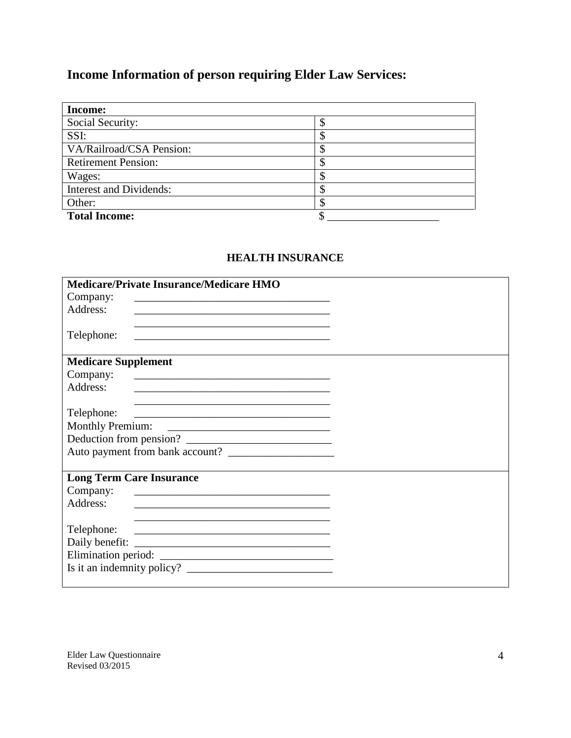## **Income Information of person requiring Elder Law Services:**

| <b>Income:</b>                 |   |
|--------------------------------|---|
| Social Security:               |   |
| SSI:                           | Φ |
| VA/Railroad/CSA Pension:       |   |
| <b>Retirement Pension:</b>     |   |
| Wages:                         |   |
| <b>Interest and Dividends:</b> |   |
| Other:                         |   |
| <b>Total Income:</b>           |   |

#### **HEALTH INSURANCE**

| <b>Medicare/Private Insurance/Medicare HMO</b>                                                                                                                                                                                                                                                                                                                                                            |  |
|-----------------------------------------------------------------------------------------------------------------------------------------------------------------------------------------------------------------------------------------------------------------------------------------------------------------------------------------------------------------------------------------------------------|--|
| Company:<br>the control of the control of the control of the control of the control of the control of the control of the control of the control of the control of the control of the control of the control of the control of the control                                                                                                                                                                 |  |
| Address:                                                                                                                                                                                                                                                                                                                                                                                                  |  |
|                                                                                                                                                                                                                                                                                                                                                                                                           |  |
| Telephone:<br><u> 1989 - Johann Barbara, marka a shekara tsa 1989 - An tsa 1989 - An tsa 1989 - An tsa 1989 - An tsa 1989 - An</u>                                                                                                                                                                                                                                                                        |  |
| <b>Medicare Supplement</b>                                                                                                                                                                                                                                                                                                                                                                                |  |
|                                                                                                                                                                                                                                                                                                                                                                                                           |  |
| Company:<br><u> 1980 - Antonio Alemania, prima postala de la provincia de la provincia de la provincia de la provincia de la</u>                                                                                                                                                                                                                                                                          |  |
| Address:                                                                                                                                                                                                                                                                                                                                                                                                  |  |
|                                                                                                                                                                                                                                                                                                                                                                                                           |  |
| Telephone:<br><u> Alexandria de la contrada de la contrada de la contrada de la contrada de la contrada de la contrada de la c</u>                                                                                                                                                                                                                                                                        |  |
| <b>Monthly Premium:</b><br><u> Alexandria de la contrada de la contrada de la contrada de la contrada de la contrada de la contrada de la c</u>                                                                                                                                                                                                                                                           |  |
| Deduction from pension?                                                                                                                                                                                                                                                                                                                                                                                   |  |
|                                                                                                                                                                                                                                                                                                                                                                                                           |  |
|                                                                                                                                                                                                                                                                                                                                                                                                           |  |
| <b>Long Term Care Insurance</b>                                                                                                                                                                                                                                                                                                                                                                           |  |
| Company:                                                                                                                                                                                                                                                                                                                                                                                                  |  |
| Address:<br>the control of the control of the control of the control of the control of the control of                                                                                                                                                                                                                                                                                                     |  |
|                                                                                                                                                                                                                                                                                                                                                                                                           |  |
| Telephone:<br><u> 1989 - Andrea Barbara, amerikan personal dan personal dan personal dan personal dan personal dan personal dan</u>                                                                                                                                                                                                                                                                       |  |
|                                                                                                                                                                                                                                                                                                                                                                                                           |  |
|                                                                                                                                                                                                                                                                                                                                                                                                           |  |
| Is it an indemnity policy? $\frac{1}{\sqrt{1-\frac{1}{\sqrt{1-\frac{1}{\sqrt{1-\frac{1}{\sqrt{1-\frac{1}{\sqrt{1-\frac{1}{\sqrt{1-\frac{1}{\sqrt{1-\frac{1}{\sqrt{1-\frac{1}{\sqrt{1-\frac{1}{\sqrt{1-\frac{1}{\sqrt{1-\frac{1}{\sqrt{1-\frac{1}{\sqrt{1-\frac{1}{\sqrt{1-\frac{1}{\sqrt{1-\frac{1}{\sqrt{1-\frac{1}{\sqrt{1-\frac{1}{\sqrt{1-\frac{1}{\sqrt{1-\frac{1}{\sqrt{1-\frac{1}{\sqrt{1-\frac{1$ |  |
|                                                                                                                                                                                                                                                                                                                                                                                                           |  |

Elder Law Questionnaire Revised 03/2015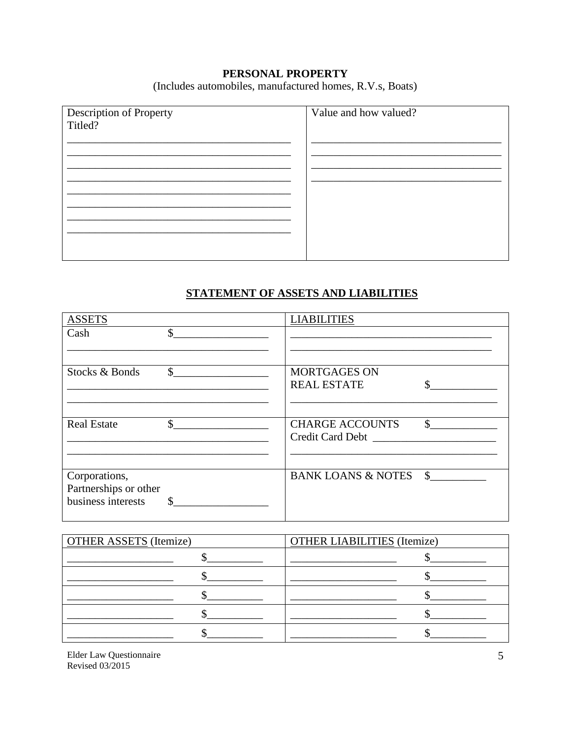#### PERSONAL PROPERTY

(Includes automobiles, manufactured homes, R.V.s, Boats)

| Description of Property<br>Titled? | Value and how valued? |
|------------------------------------|-----------------------|
|                                    |                       |
|                                    |                       |
|                                    |                       |
|                                    |                       |

#### STATEMENT OF ASSETS AND LIABILITIES

| <b>ASSETS</b>                                                |    | <b>LIABILITIES</b>                         |    |
|--------------------------------------------------------------|----|--------------------------------------------|----|
| Cash                                                         | \$ |                                            |    |
| Stocks & Bonds                                               | \$ | <b>MORTGAGES ON</b><br><b>REAL ESTATE</b>  |    |
| <b>Real Estate</b>                                           | \$ | <b>CHARGE ACCOUNTS</b><br>Credit Card Debt | \$ |
| Corporations,<br>Partnerships or other<br>business interests | S  | <b>BANK LOANS &amp; NOTES</b>              | \$ |

| <b>OTHER ASSETS</b> (Itemize) | <b>OTHER LIABILITIES</b> (Itemize) |
|-------------------------------|------------------------------------|
|                               |                                    |
|                               |                                    |
|                               |                                    |
|                               |                                    |
|                               |                                    |

Elder Law Questionnaire Revised 03/2015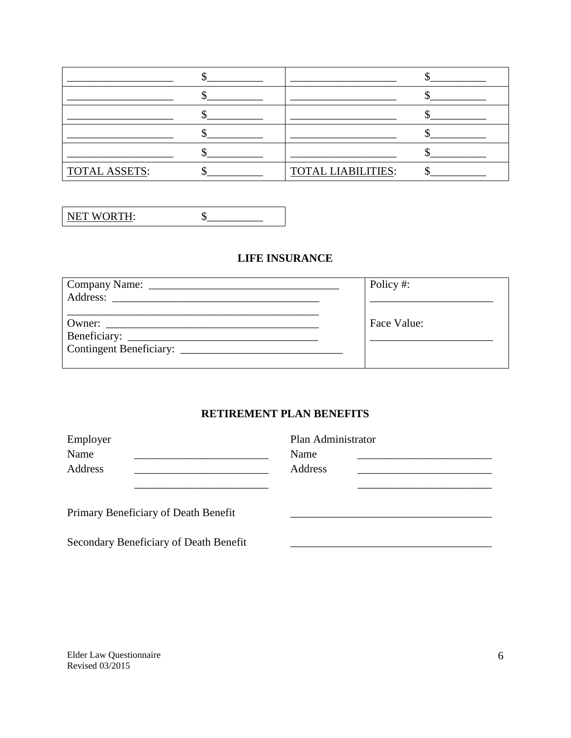| <b>TOTAL ASSETS:</b> | <b>TOTAL LIABILITIES:</b> |
|----------------------|---------------------------|

| NET WORTH: |  |
|------------|--|
|            |  |

#### **LIFE INSURANCE**

| Policy#:    |
|-------------|
|             |
|             |
| Face Value: |
|             |
|             |
|             |

#### RETIREMENT PLAN BENEFITS

| Employer                               | Plan Administrator |  |
|----------------------------------------|--------------------|--|
| Name                                   | Name               |  |
| Address                                | Address            |  |
|                                        |                    |  |
|                                        |                    |  |
| Primary Beneficiary of Death Benefit   |                    |  |
|                                        |                    |  |
| Secondary Beneficiary of Death Benefit |                    |  |